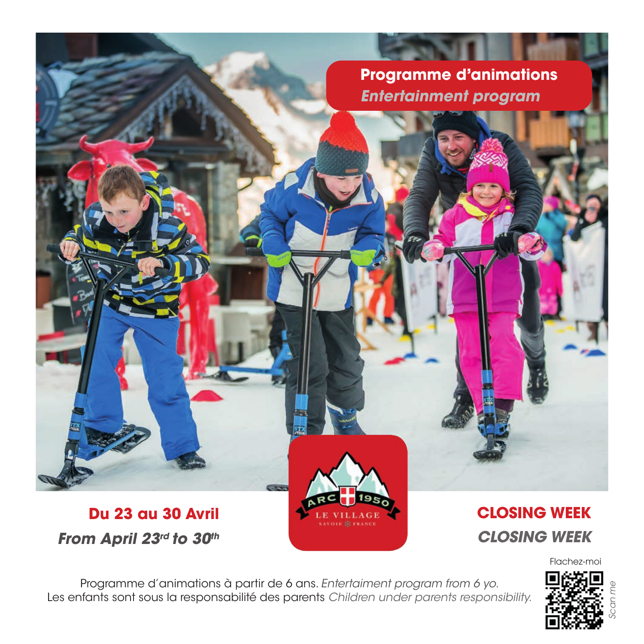# **Programme d'animations Entertainment program**

# **Du 23 au 30 Avril From April 23rd to 30th**

# **CLOSING WEEK CLOSING WEEK**

Flachez-moi

Programme d'animations à partir de 6 ans. Entertaiment program from 6 yo. Les enfants sont sous la responsabilité des parents Children under parents responsibility.

**CISS** 

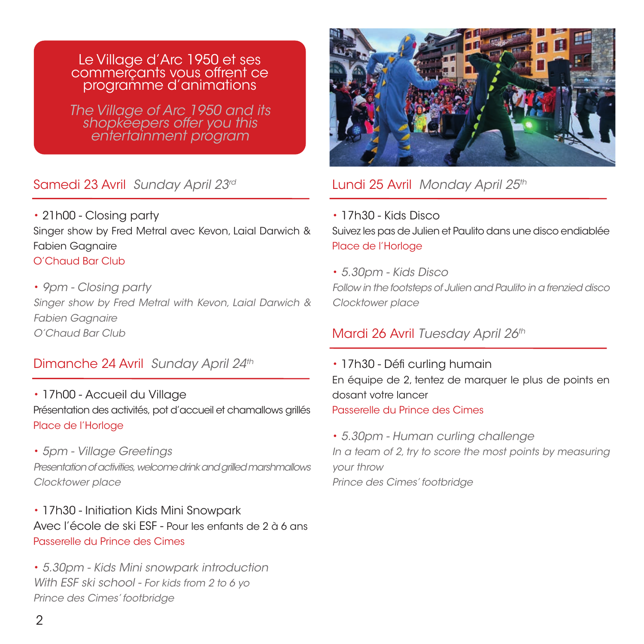### Le Village d'Arc 1950 et ses commerçants vous offrent ce programme d'animations

The Village of Arc 1950 and its shopkeepers offer you this entertainment program

## Samedi 23 Avril Sunday April 23rd

• 21h00 - Closing party Singer show by Fred Metral avec Kevon, Laial Darwich & Fabien Gagnaire O'Chaud Bar Club

• 9pm - Closing party Singer show by Fred Metral with Kevon, Laial Darwich & Fabien Gagnaire O'Chaud Bar Club

# Dimanche 24 Avril Sunday April 24th

- 17h00 Accueil du Village Présentation des activités, pot d'accueil et chamallows grillés Place de l'Horloge
- 5pm Village Greetings Presentation of activities, welcome drink and grilled marshmallows Clocktower place

• 17h30 - Initiation Kids Mini Snowpark Avec l'école de ski ESF - Pour les enfants de 2 à 6 ans Passerelle du Prince des Cimes

• 5.30pm - Kids Mini snowpark introduction With ESF ski school - For kids from 2 to 6 yo Prince des Cimes' footbridge



## Lundi 25 Avril Monday April 25th

- 17h30 Kids Disco Suivez les pas de Julien et Paulito dans une disco endiablée Place de l'Horloge
- 5.30pm Kids Disco

Follow in the footsteps of Julien and Paulito in a frenzied disco Clocktower place

## Mardi 26 Avril Tuesday April 26th

• 17h30 - Défi curling humain En équipe de 2, tentez de marquer le plus de points en dosant votre lancer Passerelle du Prince des Cimes

• 5.30pm - Human curling challenge In a team of 2, try to score the most points by measuring your throw Prince des Cimes' footbridge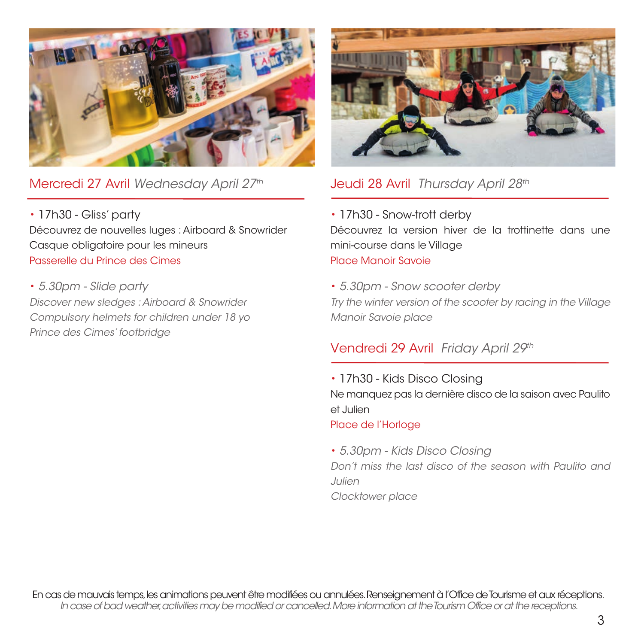

Mercredi 27 Avril Wednesday April 27th

• 17h30 - Gliss' party Découvrez de nouvelles luges : Airboard & Snowrider Casque obligatoire pour les mineurs Passerelle du Prince des Cimes

• 5.30pm - Slide party Discover new sledges : Airboard & Snowrider Compulsory helmets for children under 18 yo Prince des Cimes' footbridge



# Jeudi 28 Avril Thursday April 28th

- 17h30 Snow-trott derby Découvrez la version hiver de la trottinette dans une mini-course dans le Village Place Manoir Savoie
- 5.30pm Snow scooter derby Try the winter version of the scooter by racing in the Village Manoir Savoie place

# Vendredi 29 Avril Friday April 29th

- 17h30 Kids Disco Closing Ne manquez pas la dernière disco de la saison avec Paulito et Julien Place de l'Horloge
- 5.30pm Kids Disco Closing Don't miss the last disco of the season with Paulito and Julien Clocktower place